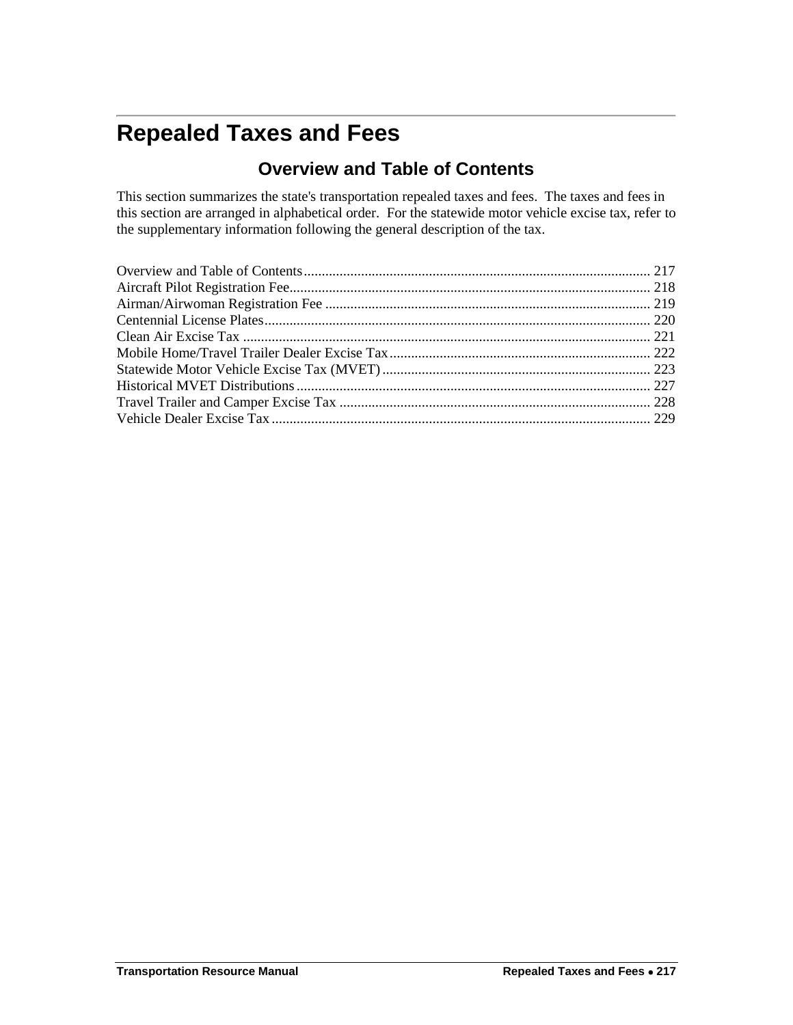## <span id="page-0-0"></span>**Repealed Taxes and Fees**

## **Overview and Table of Contents**

This section summarizes the state's transportation repealed taxes and fees. The taxes and fees in this section are arranged in alphabetical order. For the statewide motor vehicle excise tax, refer to the supplementary information following the general description of the tax.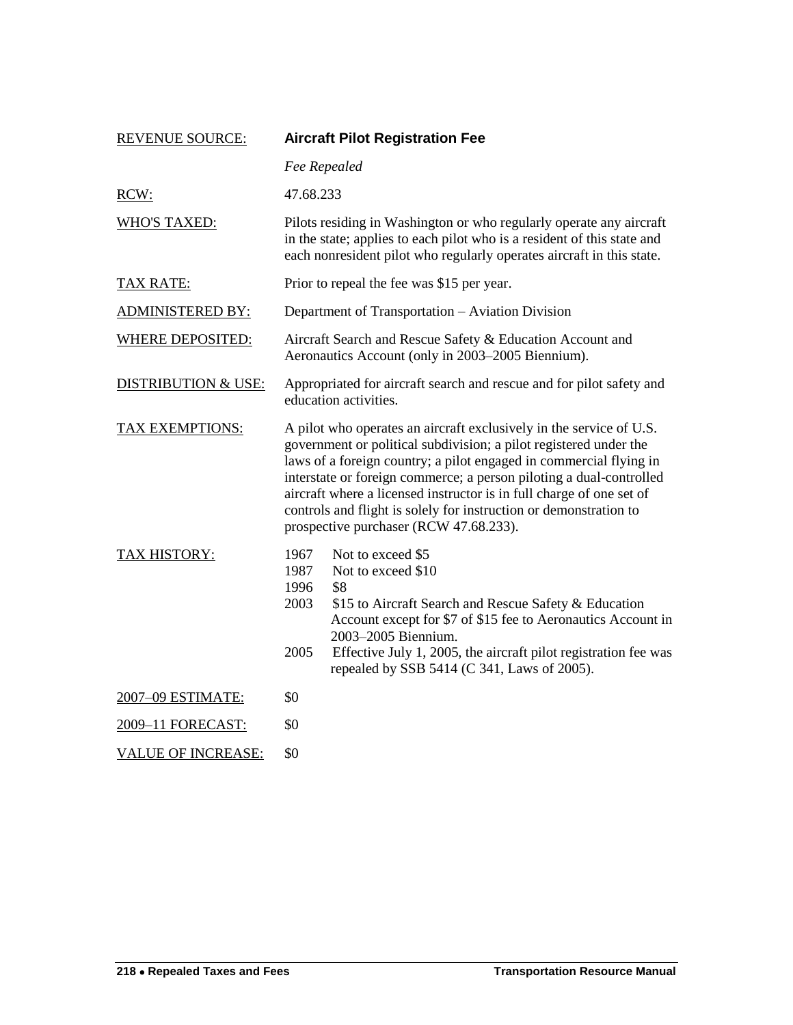<span id="page-1-0"></span>

| <b>REVENUE SOURCE:</b>         | <b>Aircraft Pilot Registration Fee</b>                                                                                                                                                                                                                                                                                                                                                                                                                                       |  |
|--------------------------------|------------------------------------------------------------------------------------------------------------------------------------------------------------------------------------------------------------------------------------------------------------------------------------------------------------------------------------------------------------------------------------------------------------------------------------------------------------------------------|--|
|                                | Fee Repealed                                                                                                                                                                                                                                                                                                                                                                                                                                                                 |  |
| RCW:                           | 47.68.233                                                                                                                                                                                                                                                                                                                                                                                                                                                                    |  |
| <b>WHO'S TAXED:</b>            | Pilots residing in Washington or who regularly operate any aircraft<br>in the state; applies to each pilot who is a resident of this state and<br>each nonresident pilot who regularly operates aircraft in this state.                                                                                                                                                                                                                                                      |  |
| <b>TAX RATE:</b>               | Prior to repeal the fee was \$15 per year.                                                                                                                                                                                                                                                                                                                                                                                                                                   |  |
| <b>ADMINISTERED BY:</b>        | Department of Transportation - Aviation Division                                                                                                                                                                                                                                                                                                                                                                                                                             |  |
| <b>WHERE DEPOSITED:</b>        | Aircraft Search and Rescue Safety & Education Account and<br>Aeronautics Account (only in 2003–2005 Biennium).                                                                                                                                                                                                                                                                                                                                                               |  |
| <b>DISTRIBUTION &amp; USE:</b> | Appropriated for aircraft search and rescue and for pilot safety and<br>education activities.                                                                                                                                                                                                                                                                                                                                                                                |  |
| TAX EXEMPTIONS:                | A pilot who operates an aircraft exclusively in the service of U.S.<br>government or political subdivision; a pilot registered under the<br>laws of a foreign country; a pilot engaged in commercial flying in<br>interstate or foreign commerce; a person piloting a dual-controlled<br>aircraft where a licensed instructor is in full charge of one set of<br>controls and flight is solely for instruction or demonstration to<br>prospective purchaser (RCW 47.68.233). |  |
| TAX HISTORY:                   | 1967<br>Not to exceed \$5<br>1987<br>Not to exceed \$10<br>1996<br>\$8<br>2003<br>\$15 to Aircraft Search and Rescue Safety & Education<br>Account except for \$7 of \$15 fee to Aeronautics Account in<br>2003-2005 Biennium.<br>2005<br>Effective July 1, 2005, the aircraft pilot registration fee was<br>repealed by SSB 5414 (C 341, Laws of 2005).                                                                                                                     |  |
| 2007-09 ESTIMATE:              | \$0                                                                                                                                                                                                                                                                                                                                                                                                                                                                          |  |
| 2009-11 FORECAST:              | \$0                                                                                                                                                                                                                                                                                                                                                                                                                                                                          |  |
| <b>VALUE OF INCREASE:</b>      | \$0                                                                                                                                                                                                                                                                                                                                                                                                                                                                          |  |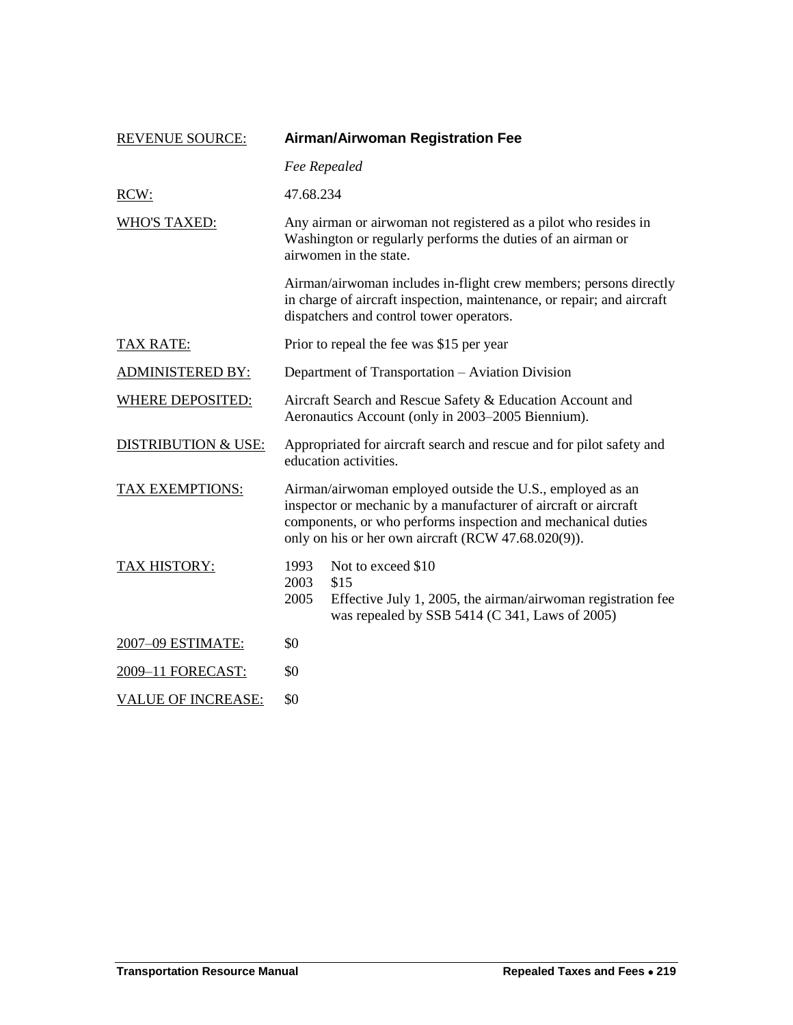<span id="page-2-0"></span>

| <b>REVENUE SOURCE:</b>         |                                                                                                                                                                                                                                                     | <b>Airman/Airwoman Registration Fee</b>                                                                                                                                                 |  |
|--------------------------------|-----------------------------------------------------------------------------------------------------------------------------------------------------------------------------------------------------------------------------------------------------|-----------------------------------------------------------------------------------------------------------------------------------------------------------------------------------------|--|
|                                |                                                                                                                                                                                                                                                     | Fee Repealed                                                                                                                                                                            |  |
| RCW:                           | 47.68.234                                                                                                                                                                                                                                           |                                                                                                                                                                                         |  |
| <b>WHO'S TAXED:</b>            | Any airman or airwoman not registered as a pilot who resides in<br>Washington or regularly performs the duties of an airman or<br>airwomen in the state.                                                                                            |                                                                                                                                                                                         |  |
|                                |                                                                                                                                                                                                                                                     | Airman/airwoman includes in-flight crew members; persons directly<br>in charge of aircraft inspection, maintenance, or repair; and aircraft<br>dispatchers and control tower operators. |  |
| <b>TAX RATE:</b>               | Prior to repeal the fee was \$15 per year                                                                                                                                                                                                           |                                                                                                                                                                                         |  |
| <b>ADMINISTERED BY:</b>        | Department of Transportation – Aviation Division                                                                                                                                                                                                    |                                                                                                                                                                                         |  |
| <b>WHERE DEPOSITED:</b>        | Aircraft Search and Rescue Safety & Education Account and<br>Aeronautics Account (only in 2003–2005 Biennium).                                                                                                                                      |                                                                                                                                                                                         |  |
| <b>DISTRIBUTION &amp; USE:</b> | Appropriated for aircraft search and rescue and for pilot safety and<br>education activities.                                                                                                                                                       |                                                                                                                                                                                         |  |
| TAX EXEMPTIONS:                | Airman/airwoman employed outside the U.S., employed as an<br>inspector or mechanic by a manufacturer of aircraft or aircraft<br>components, or who performs inspection and mechanical duties<br>only on his or her own aircraft (RCW 47.68.020(9)). |                                                                                                                                                                                         |  |
| TAX HISTORY:                   | 1993<br>2003<br>2005                                                                                                                                                                                                                                | Not to exceed \$10<br>\$15<br>Effective July 1, 2005, the airman/airwoman registration fee<br>was repealed by SSB 5414 (C 341, Laws of 2005)                                            |  |
| 2007-09 ESTIMATE:              | \$0                                                                                                                                                                                                                                                 |                                                                                                                                                                                         |  |
| 2009-11 FORECAST:              | \$0                                                                                                                                                                                                                                                 |                                                                                                                                                                                         |  |
| <b>VALUE OF INCREASE:</b>      | \$0                                                                                                                                                                                                                                                 |                                                                                                                                                                                         |  |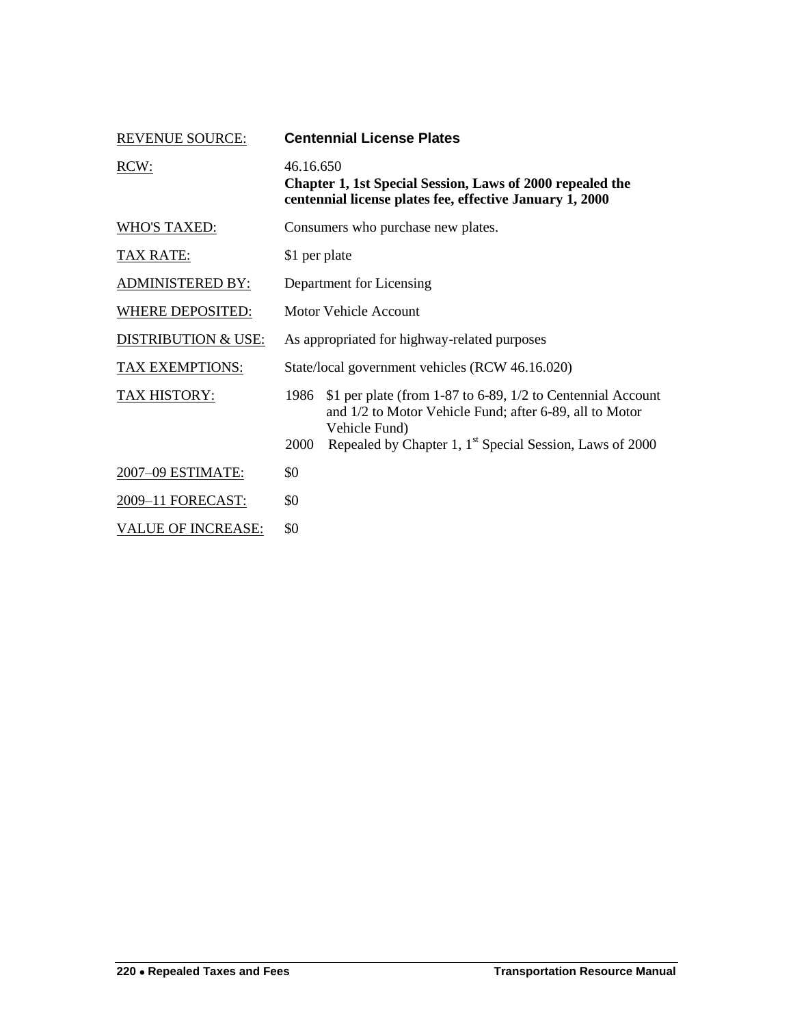<span id="page-3-0"></span>

| <b>REVENUE SOURCE:</b>         | <b>Centennial License Plates</b>                                                                                                                                                                                                |  |  |
|--------------------------------|---------------------------------------------------------------------------------------------------------------------------------------------------------------------------------------------------------------------------------|--|--|
| RCW:                           | 46.16.650<br>Chapter 1, 1st Special Session, Laws of 2000 repealed the<br>centennial license plates fee, effective January 1, 2000                                                                                              |  |  |
| <b>WHO'S TAXED:</b>            | Consumers who purchase new plates.                                                                                                                                                                                              |  |  |
| <b>TAX RATE:</b>               | \$1 per plate                                                                                                                                                                                                                   |  |  |
| <b>ADMINISTERED BY:</b>        | Department for Licensing                                                                                                                                                                                                        |  |  |
| <b>WHERE DEPOSITED:</b>        | Motor Vehicle Account                                                                                                                                                                                                           |  |  |
| <b>DISTRIBUTION &amp; USE:</b> | As appropriated for highway-related purposes                                                                                                                                                                                    |  |  |
| <b>TAX EXEMPTIONS:</b>         | State/local government vehicles (RCW 46.16.020)                                                                                                                                                                                 |  |  |
| TAX HISTORY:                   | 1986<br>\$1 per plate (from 1-87 to 6-89, 1/2 to Centennial Account<br>and 1/2 to Motor Vehicle Fund; after 6-89, all to Motor<br>Vehicle Fund)<br>Repealed by Chapter 1, 1 <sup>st</sup> Special Session, Laws of 2000<br>2000 |  |  |
| 2007-09 ESTIMATE:              | \$0                                                                                                                                                                                                                             |  |  |
| 2009-11 FORECAST:              | \$0                                                                                                                                                                                                                             |  |  |
| <b>VALUE OF INCREASE:</b>      | \$0                                                                                                                                                                                                                             |  |  |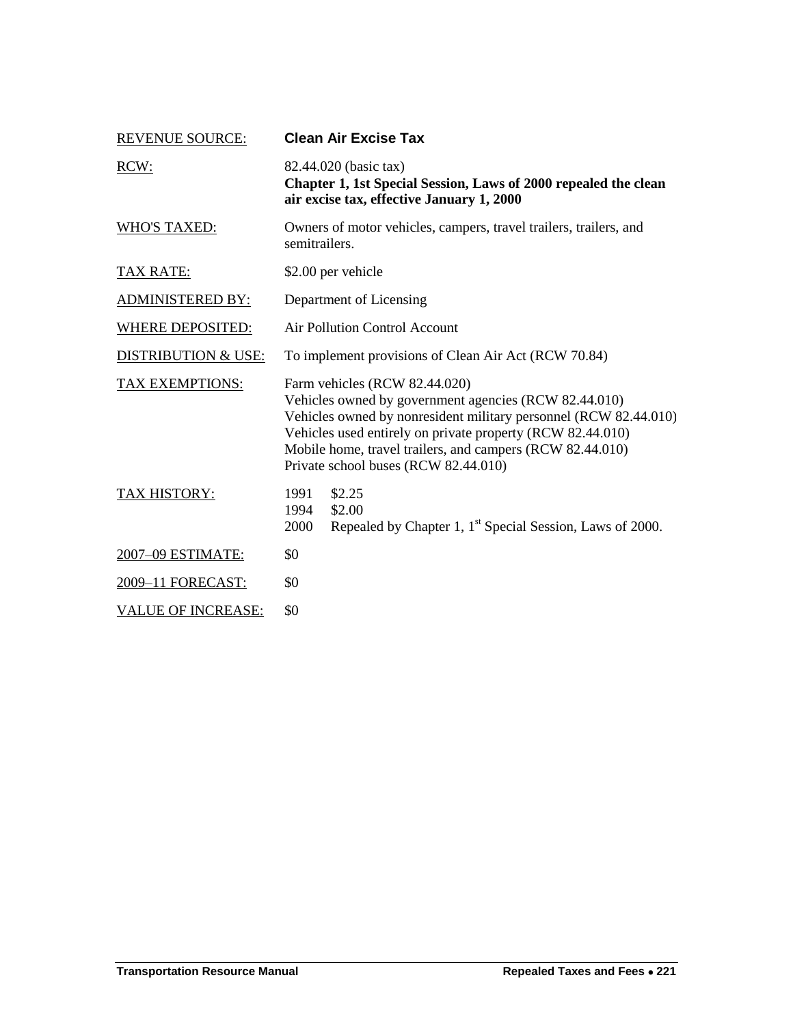<span id="page-4-0"></span>

| <b>REVENUE SOURCE:</b>         | <b>Clean Air Excise Tax</b>                                                                                                                                                                                                                                                                                                   |  |  |
|--------------------------------|-------------------------------------------------------------------------------------------------------------------------------------------------------------------------------------------------------------------------------------------------------------------------------------------------------------------------------|--|--|
| RCW:                           | 82.44.020 (basic tax)<br>Chapter 1, 1st Special Session, Laws of 2000 repealed the clean<br>air excise tax, effective January 1, 2000                                                                                                                                                                                         |  |  |
| <b>WHO'S TAXED:</b>            | Owners of motor vehicles, campers, travel trailers, trailers, and<br>semitrailers.                                                                                                                                                                                                                                            |  |  |
| <u>TAX RATE:</u>               | \$2.00 per vehicle                                                                                                                                                                                                                                                                                                            |  |  |
| <b>ADMINISTERED BY:</b>        | Department of Licensing                                                                                                                                                                                                                                                                                                       |  |  |
| <b>WHERE DEPOSITED:</b>        | <b>Air Pollution Control Account</b>                                                                                                                                                                                                                                                                                          |  |  |
| <b>DISTRIBUTION &amp; USE:</b> | To implement provisions of Clean Air Act (RCW 70.84)                                                                                                                                                                                                                                                                          |  |  |
| TAX EXEMPTIONS:                | Farm vehicles (RCW 82.44.020)<br>Vehicles owned by government agencies (RCW 82.44.010)<br>Vehicles owned by nonresident military personnel (RCW 82.44.010)<br>Vehicles used entirely on private property (RCW 82.44.010)<br>Mobile home, travel trailers, and campers (RCW 82.44.010)<br>Private school buses (RCW 82.44.010) |  |  |
| TAX HISTORY:                   | \$2.25<br>1991<br>1994<br>\$2.00<br>Repealed by Chapter 1, 1 <sup>st</sup> Special Session, Laws of 2000.<br>2000                                                                                                                                                                                                             |  |  |
| 2007-09 ESTIMATE:              | \$0                                                                                                                                                                                                                                                                                                                           |  |  |
| 2009-11 FORECAST:              | \$0                                                                                                                                                                                                                                                                                                                           |  |  |
| <b>VALUE OF INCREASE:</b>      | \$0                                                                                                                                                                                                                                                                                                                           |  |  |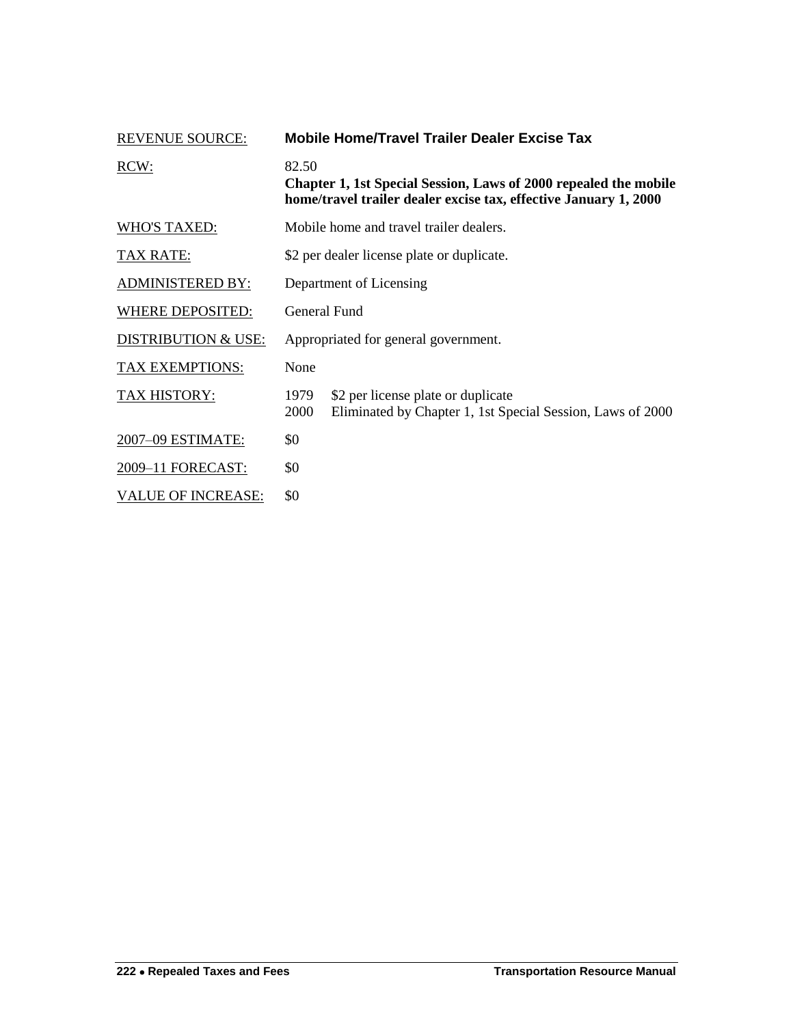<span id="page-5-0"></span>

| <b>REVENUE SOURCE:</b>         | Mobile Home/Travel Trailer Dealer Excise Tax                                                                                                  |                                                                                                  |  |
|--------------------------------|-----------------------------------------------------------------------------------------------------------------------------------------------|--------------------------------------------------------------------------------------------------|--|
| RCW:                           | 82.50<br>Chapter 1, 1st Special Session, Laws of 2000 repealed the mobile<br>home/travel trailer dealer excise tax, effective January 1, 2000 |                                                                                                  |  |
| <b>WHO'S TAXED:</b>            | Mobile home and travel trailer dealers.                                                                                                       |                                                                                                  |  |
| TAX RATE:                      | \$2 per dealer license plate or duplicate.                                                                                                    |                                                                                                  |  |
| <b>ADMINISTERED BY:</b>        | Department of Licensing                                                                                                                       |                                                                                                  |  |
| WHERE DEPOSITED:               | General Fund                                                                                                                                  |                                                                                                  |  |
| <b>DISTRIBUTION &amp; USE:</b> | Appropriated for general government.                                                                                                          |                                                                                                  |  |
| <b>TAX EXEMPTIONS:</b>         | None                                                                                                                                          |                                                                                                  |  |
| TAX HISTORY:                   | 1979<br>2000                                                                                                                                  | \$2 per license plate or duplicate<br>Eliminated by Chapter 1, 1st Special Session, Laws of 2000 |  |
| 2007-09 ESTIMATE:              | \$0                                                                                                                                           |                                                                                                  |  |
| 2009-11 FORECAST:              | \$0                                                                                                                                           |                                                                                                  |  |
| <b>VALUE OF INCREASE:</b>      | \$0                                                                                                                                           |                                                                                                  |  |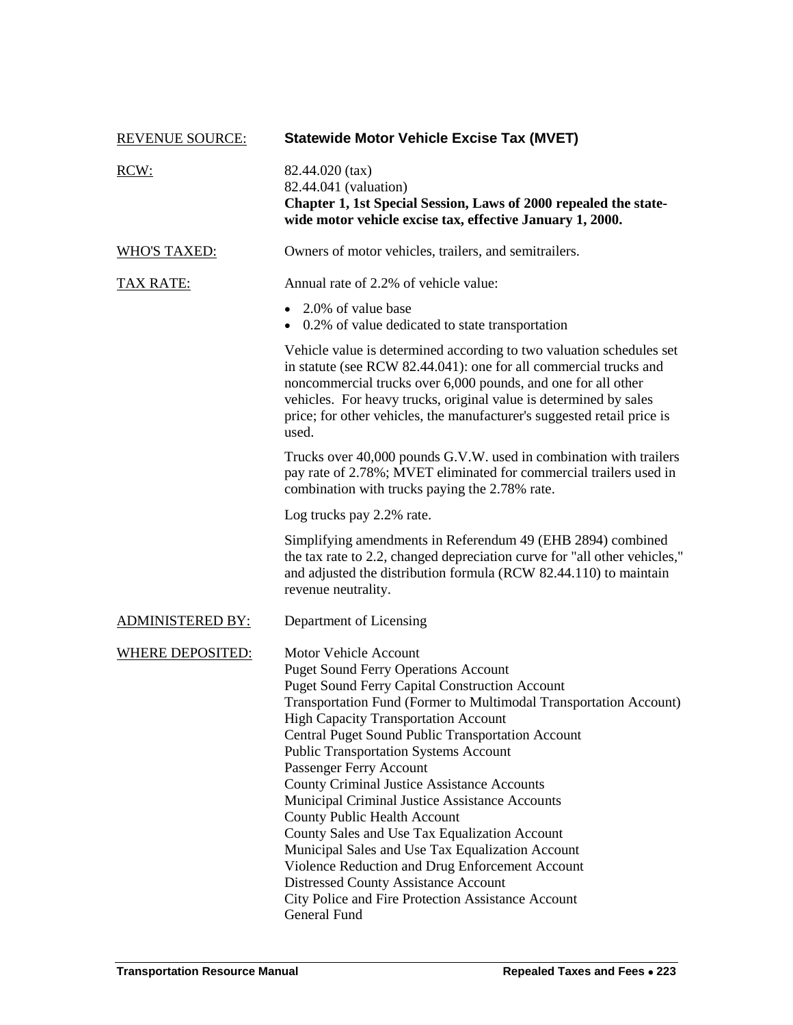<span id="page-6-0"></span>

| <b>REVENUE SOURCE:</b>  | <b>Statewide Motor Vehicle Excise Tax (MVET)</b>                                                                                                                                                                                                                                                                                                                                                                                                                                                                                                                                                                                                                                                                                                                                                                     |
|-------------------------|----------------------------------------------------------------------------------------------------------------------------------------------------------------------------------------------------------------------------------------------------------------------------------------------------------------------------------------------------------------------------------------------------------------------------------------------------------------------------------------------------------------------------------------------------------------------------------------------------------------------------------------------------------------------------------------------------------------------------------------------------------------------------------------------------------------------|
| RCW:                    | 82.44.020 (tax)<br>82.44.041 (valuation)<br>Chapter 1, 1st Special Session, Laws of 2000 repealed the state-<br>wide motor vehicle excise tax, effective January 1, 2000.                                                                                                                                                                                                                                                                                                                                                                                                                                                                                                                                                                                                                                            |
| <b>WHO'S TAXED:</b>     | Owners of motor vehicles, trailers, and semitrailers.                                                                                                                                                                                                                                                                                                                                                                                                                                                                                                                                                                                                                                                                                                                                                                |
| <b>TAX RATE:</b>        | Annual rate of 2.2% of vehicle value:                                                                                                                                                                                                                                                                                                                                                                                                                                                                                                                                                                                                                                                                                                                                                                                |
|                         | • 2.0% of value base<br>0.2% of value dedicated to state transportation                                                                                                                                                                                                                                                                                                                                                                                                                                                                                                                                                                                                                                                                                                                                              |
|                         | Vehicle value is determined according to two valuation schedules set<br>in statute (see RCW 82.44.041): one for all commercial trucks and<br>noncommercial trucks over 6,000 pounds, and one for all other<br>vehicles. For heavy trucks, original value is determined by sales<br>price; for other vehicles, the manufacturer's suggested retail price is<br>used.                                                                                                                                                                                                                                                                                                                                                                                                                                                  |
|                         | Trucks over 40,000 pounds G.V.W. used in combination with trailers<br>pay rate of 2.78%; MVET eliminated for commercial trailers used in<br>combination with trucks paying the 2.78% rate.                                                                                                                                                                                                                                                                                                                                                                                                                                                                                                                                                                                                                           |
|                         | Log trucks pay 2.2% rate.                                                                                                                                                                                                                                                                                                                                                                                                                                                                                                                                                                                                                                                                                                                                                                                            |
|                         | Simplifying amendments in Referendum 49 (EHB 2894) combined<br>the tax rate to 2.2, changed depreciation curve for "all other vehicles,"<br>and adjusted the distribution formula (RCW 82.44.110) to maintain<br>revenue neutrality.                                                                                                                                                                                                                                                                                                                                                                                                                                                                                                                                                                                 |
| <b>ADMINISTERED BY:</b> | Department of Licensing                                                                                                                                                                                                                                                                                                                                                                                                                                                                                                                                                                                                                                                                                                                                                                                              |
| <b>WHERE DEPOSITED:</b> | <b>Motor Vehicle Account</b><br><b>Puget Sound Ferry Operations Account</b><br><b>Puget Sound Ferry Capital Construction Account</b><br>Transportation Fund (Former to Multimodal Transportation Account)<br><b>High Capacity Transportation Account</b><br>Central Puget Sound Public Transportation Account<br><b>Public Transportation Systems Account</b><br>Passenger Ferry Account<br><b>County Criminal Justice Assistance Accounts</b><br>Municipal Criminal Justice Assistance Accounts<br><b>County Public Health Account</b><br>County Sales and Use Tax Equalization Account<br>Municipal Sales and Use Tax Equalization Account<br>Violence Reduction and Drug Enforcement Account<br><b>Distressed County Assistance Account</b><br>City Police and Fire Protection Assistance Account<br>General Fund |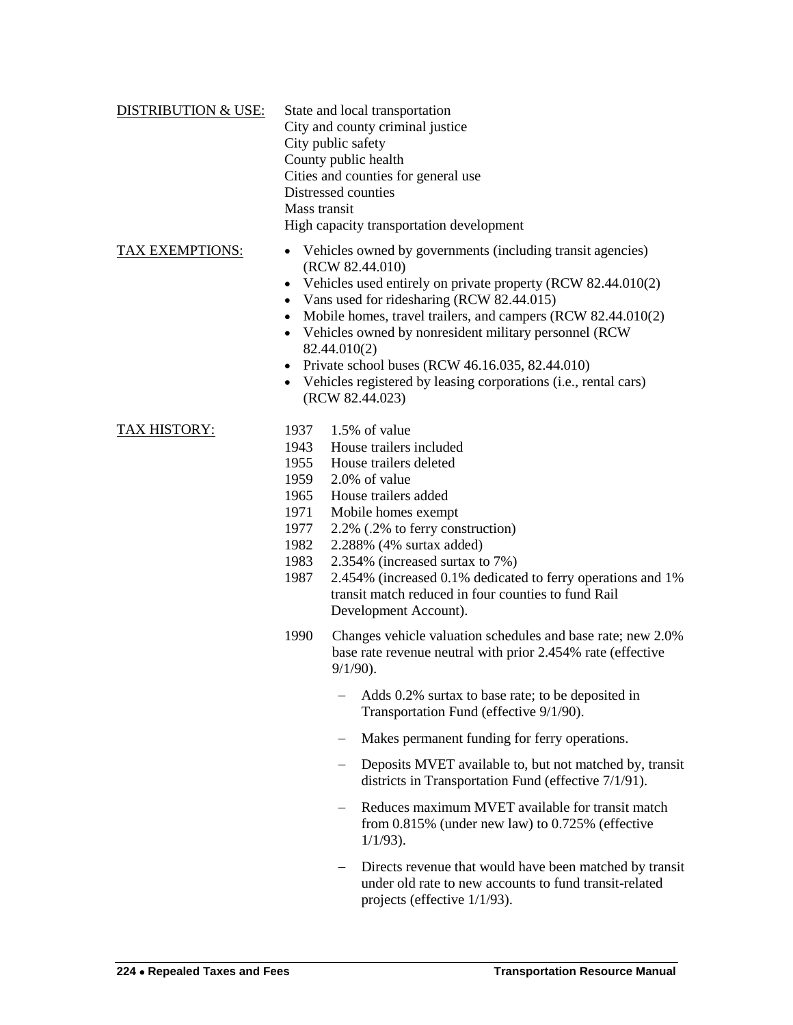| <b>DISTRIBUTION &amp; USE:</b> | State and local transportation<br>City and county criminal justice              |  |  |
|--------------------------------|---------------------------------------------------------------------------------|--|--|
|                                | City public safety                                                              |  |  |
|                                | County public health                                                            |  |  |
|                                | Cities and counties for general use                                             |  |  |
|                                | Distressed counties                                                             |  |  |
|                                | Mass transit                                                                    |  |  |
|                                | High capacity transportation development                                        |  |  |
| <b>TAX EXEMPTIONS:</b>         | • Vehicles owned by governments (including transit agencies)<br>(RCW 82.44.010) |  |  |
|                                | Vehicles used entirely on private property (RCW 82.44.010(2)                    |  |  |

- Vans used for ridesharing (RCW 82.44.015)
- Mobile homes, travel trailers, and campers (RCW 82.44.010(2)
- Vehicles owned by nonresident military personnel (RCW 82.44.010(2)
- Private school buses (RCW  $46.16.035$ ,  $82.44.010$ )
- Vehicles registered by leasing corporations (i.e., rental cars) (RCW 82.44.023)

- TAX HISTORY: 1937 1.5% of value
	- 1943 House trailers included
	- 1955 House trailers deleted
	- 1959 2.0% of value
	- 1965 House trailers added
	- 1971 Mobile homes exempt
	- 1977 2.2% (.2% to ferry construction)
	- 1982 2.288% (4% surtax added)
	- 1983 2.354% (increased surtax to 7%)
	- 1987 2.454% (increased 0.1% dedicated to ferry operations and 1% transit match reduced in four counties to fund Rail Development Account).
	- 1990 Changes vehicle valuation schedules and base rate; new 2.0% base rate revenue neutral with prior 2.454% rate (effective 9/1/90).
		- Adds 0.2% surtax to base rate; to be deposited in Transportation Fund (effective 9/1/90).
		- Makes permanent funding for ferry operations.
		- Deposits MVET available to, but not matched by, transit districts in Transportation Fund (effective 7/1/91).
		- Reduces maximum MVET available for transit match from 0.815% (under new law) to 0.725% (effective 1/1/93).
		- Directs revenue that would have been matched by transit under old rate to new accounts to fund transit-related projects (effective 1/1/93).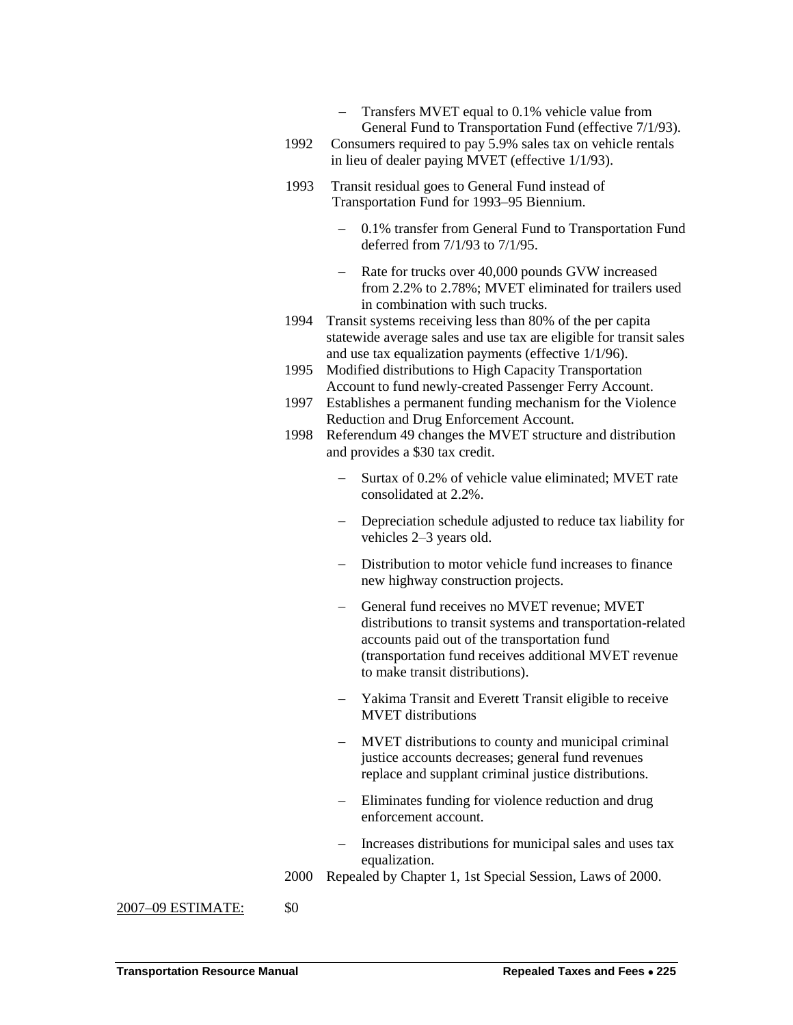- Transfers MVET equal to 0.1% vehicle value from General Fund to Transportation Fund (effective 7/1/93).
- 1992 Consumers required to pay 5.9% sales tax on vehicle rentals in lieu of dealer paying MVET (effective 1/1/93).
- 1993 Transit residual goes to General Fund instead of Transportation Fund for 1993–95 Biennium.
	- 0.1% transfer from General Fund to Transportation Fund deferred from 7/1/93 to 7/1/95.
	- Rate for trucks over 40,000 pounds GVW increased from 2.2% to 2.78%; MVET eliminated for trailers used in combination with such trucks.
- 1994 Transit systems receiving less than 80% of the per capita statewide average sales and use tax are eligible for transit sales and use tax equalization payments (effective 1/1/96).
- 1995 Modified distributions to High Capacity Transportation Account to fund newly-created Passenger Ferry Account.
- 1997 Establishes a permanent funding mechanism for the Violence Reduction and Drug Enforcement Account.
- 1998 Referendum 49 changes the MVET structure and distribution and provides a \$30 tax credit.
	- Surtax of 0.2% of vehicle value eliminated; MVET rate consolidated at 2.2%.
	- Depreciation schedule adjusted to reduce tax liability for vehicles 2–3 years old.
	- Distribution to motor vehicle fund increases to finance new highway construction projects.
	- General fund receives no MVET revenue: MVET distributions to transit systems and transportation-related accounts paid out of the transportation fund (transportation fund receives additional MVET revenue to make transit distributions).
	- Yakima Transit and Everett Transit eligible to receive MVET distributions
	- MVET distributions to county and municipal criminal justice accounts decreases; general fund revenues replace and supplant criminal justice distributions.
	- Eliminates funding for violence reduction and drug enforcement account.
	- Increases distributions for municipal sales and uses tax equalization.
- 2000 Repealed by Chapter 1, 1st Special Session, Laws of 2000.

2007–09 ESTIMATE: \$0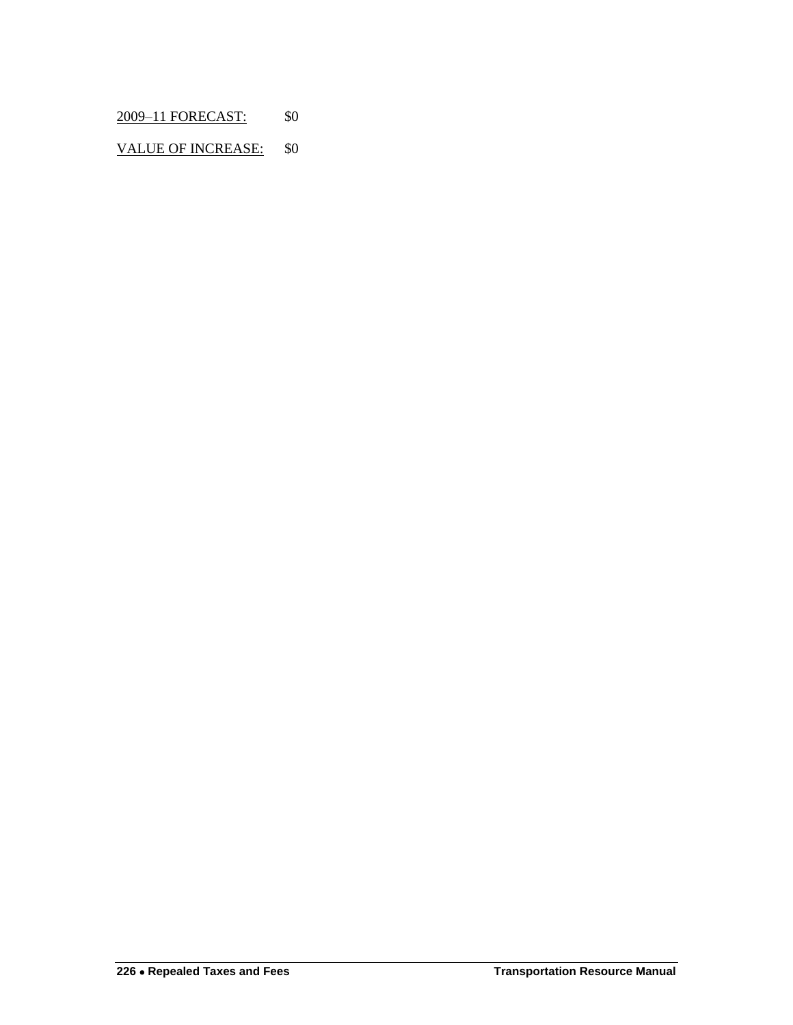2009–11 FORECAST: \$0

VALUE OF INCREASE: \$0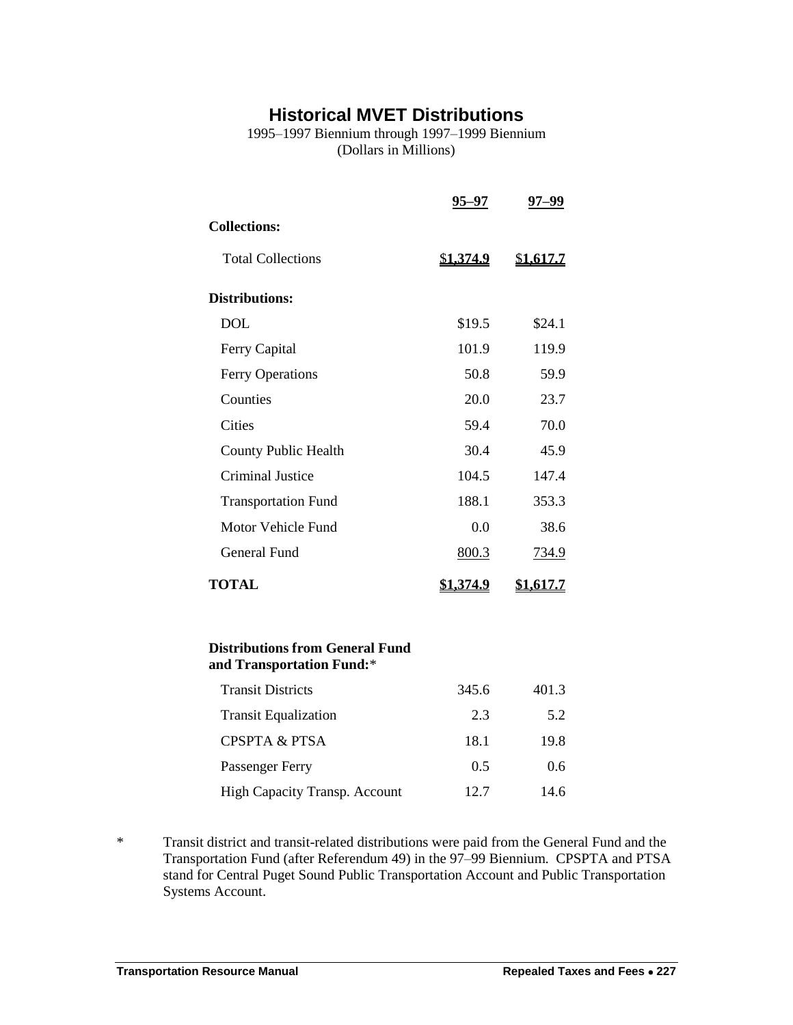## **Historical MVET Distributions**

1995–1997 Biennium through 1997–1999 Biennium (Dollars in Millions)

<span id="page-10-0"></span>

|                                                                     | 95–97            | 97–99            |  |
|---------------------------------------------------------------------|------------------|------------------|--|
| <b>Collections:</b>                                                 |                  |                  |  |
| <b>Total Collections</b>                                            | <u>\$1,374.9</u> | <u>\$1,617.7</u> |  |
| <b>Distributions:</b>                                               |                  |                  |  |
| <b>DOL</b>                                                          | \$19.5           | \$24.1           |  |
| Ferry Capital                                                       | 101.9            | 119.9            |  |
| <b>Ferry Operations</b>                                             | 50.8             | 59.9             |  |
| Counties                                                            | 20.0             | 23.7             |  |
| <b>Cities</b>                                                       | 59.4             | 70.0             |  |
| <b>County Public Health</b>                                         | 30.4             | 45.9             |  |
| <b>Criminal Justice</b>                                             | 104.5            | 147.4            |  |
| <b>Transportation Fund</b>                                          | 188.1            | 353.3            |  |
| Motor Vehicle Fund                                                  | 0.0              | 38.6             |  |
| General Fund                                                        | 800.3            | 734.9            |  |
| <b>TOTAL</b>                                                        | <u>\$1,374.9</u> | <u>\$1,617.7</u> |  |
| <b>Distributions from General Fund</b><br>and Transportation Fund:* |                  |                  |  |
| <b>Transit Districts</b>                                            | 345.6            | 401.3            |  |
| <b>Transit Equalization</b>                                         | 2.3              | 5.2              |  |

CPSPTA & PTSA 18.1 19.8 Passenger Ferry 0.5 0.6

\* Transit district and transit-related distributions were paid from the General Fund and the Transportation Fund (after Referendum 49) in the 97–99 Biennium. CPSPTA and PTSA stand for Central Puget Sound Public Transportation Account and Public Transportation Systems Account.

High Capacity Transp. Account 12.7 14.6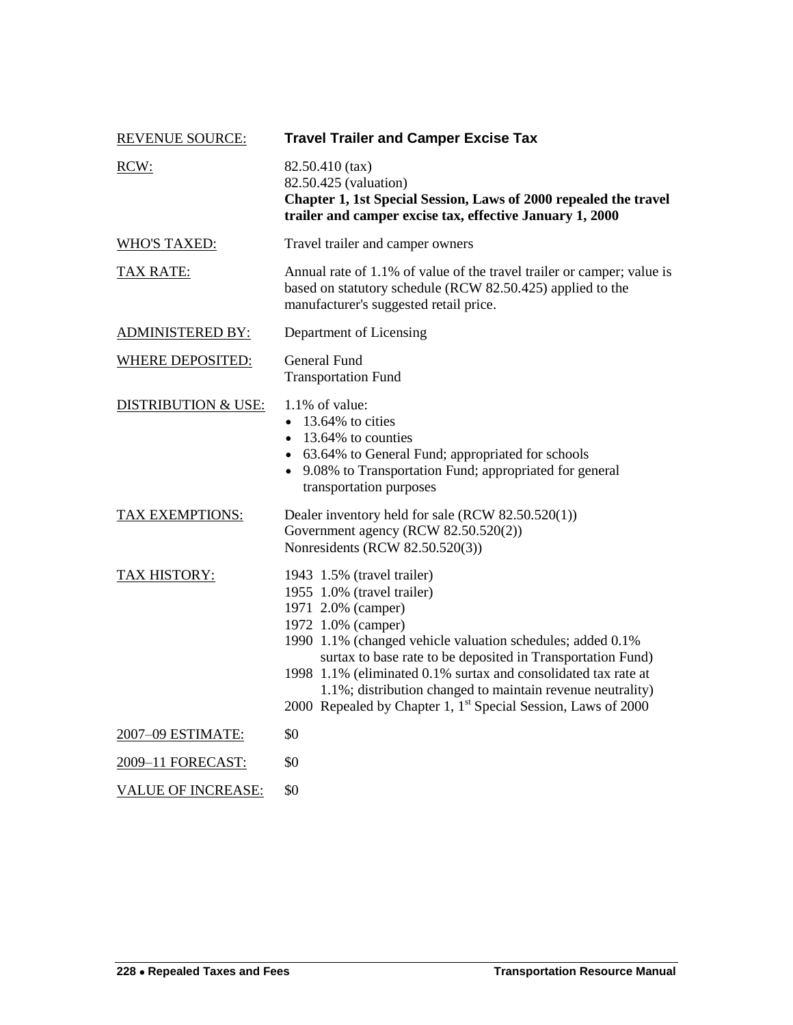<span id="page-11-0"></span>

| <b>REVENUE SOURCE:</b>         | <b>Travel Trailer and Camper Excise Tax</b>                                                                                                                                                                                                                                                                                                                                                                                                    |
|--------------------------------|------------------------------------------------------------------------------------------------------------------------------------------------------------------------------------------------------------------------------------------------------------------------------------------------------------------------------------------------------------------------------------------------------------------------------------------------|
| RCW:                           | 82.50.410 (tax)<br>82.50.425 (valuation)<br>Chapter 1, 1st Special Session, Laws of 2000 repealed the travel<br>trailer and camper excise tax, effective January 1, 2000                                                                                                                                                                                                                                                                       |
| <b>WHO'S TAXED:</b>            | Travel trailer and camper owners                                                                                                                                                                                                                                                                                                                                                                                                               |
| <b>TAX RATE:</b>               | Annual rate of 1.1% of value of the travel trailer or camper; value is<br>based on statutory schedule (RCW 82.50.425) applied to the<br>manufacturer's suggested retail price.                                                                                                                                                                                                                                                                 |
| <b>ADMINISTERED BY:</b>        | Department of Licensing                                                                                                                                                                                                                                                                                                                                                                                                                        |
| <b>WHERE DEPOSITED:</b>        | General Fund<br><b>Transportation Fund</b>                                                                                                                                                                                                                                                                                                                                                                                                     |
| <b>DISTRIBUTION &amp; USE:</b> | 1.1% of value:<br>$\bullet$ 13.64% to cities<br>$\bullet$ 13.64% to counties<br>• 63.64% to General Fund; appropriated for schools<br>• 9.08% to Transportation Fund; appropriated for general<br>transportation purposes                                                                                                                                                                                                                      |
| <b>TAX EXEMPTIONS:</b>         | Dealer inventory held for sale (RCW 82.50.520(1))<br>Government agency (RCW 82.50.520(2))<br>Nonresidents (RCW 82.50.520(3))                                                                                                                                                                                                                                                                                                                   |
| TAX HISTORY:                   | 1943 1.5% (travel trailer)<br>1955 1.0% (travel trailer)<br>1971 2.0% (camper)<br>1972 1.0% (camper)<br>1990 1.1% (changed vehicle valuation schedules; added 0.1%<br>surtax to base rate to be deposited in Transportation Fund)<br>1998 1.1% (eliminated 0.1% surtax and consolidated tax rate at<br>1.1%; distribution changed to maintain revenue neutrality)<br>2000 Repealed by Chapter 1, 1 <sup>st</sup> Special Session, Laws of 2000 |
| 2007-09 ESTIMATE:              | \$0                                                                                                                                                                                                                                                                                                                                                                                                                                            |
| 2009-11 FORECAST:              | \$0                                                                                                                                                                                                                                                                                                                                                                                                                                            |
| <b>VALUE OF INCREASE:</b>      | \$0                                                                                                                                                                                                                                                                                                                                                                                                                                            |